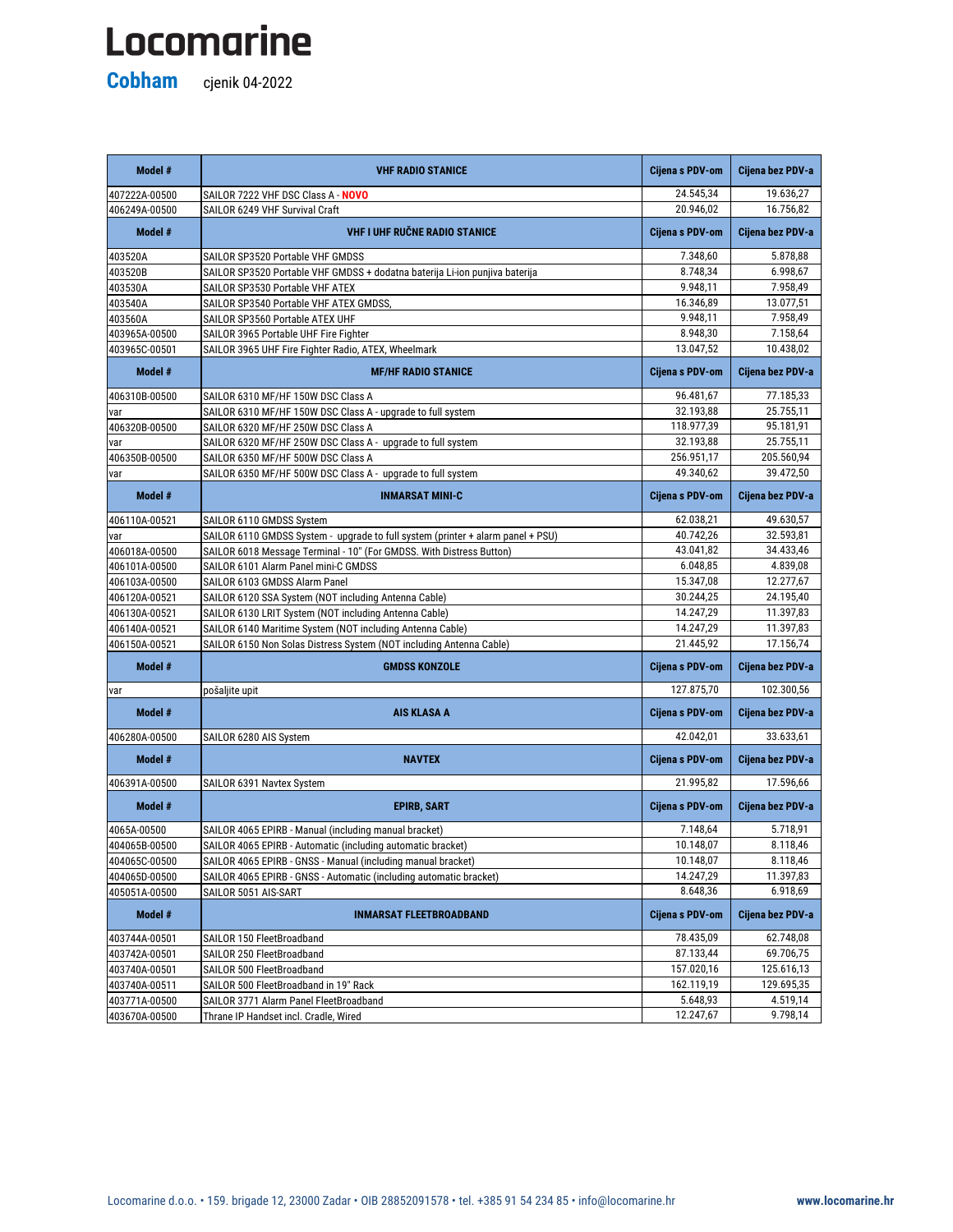## Locomarine

**Cobham** cjenik 04-2022

| Model #       | <b>VHF RADIO STANICE</b>                                                        | <b>Cijena s PDV-om</b> | Cijena bez PDV-a |
|---------------|---------------------------------------------------------------------------------|------------------------|------------------|
| 407222A-00500 | SAILOR 7222 VHF DSC Class A - NOVO                                              | 24.545,34              | 19.636,27        |
| 406249A-00500 | SAILOR 6249 VHF Survival Craft                                                  | 20.946,02              | 16.756,82        |
| Model #       | <b>VHF I UHF RUČNE RADIO STANICE</b>                                            | Cijena s PDV-om        | Cijena bez PDV-a |
| 403520A       | SAILOR SP3520 Portable VHF GMDSS                                                | 7.348,60               | 5.878,88         |
| 403520B       | SAILOR SP3520 Portable VHF GMDSS + dodatna baterija Li-ion punjiva baterija     | 8.748,34               | 6.998,67         |
| 403530A       | SAILOR SP3530 Portable VHF ATEX                                                 | 9.948,11               | 7.958,49         |
| 403540A       | SAILOR SP3540 Portable VHF ATEX GMDSS,                                          | 16.346,89              | 13.077,51        |
| 403560A       | SAILOR SP3560 Portable ATEX UHF                                                 | 9.948,11               | 7.958,49         |
| 403965A-00500 | SAILOR 3965 Portable UHF Fire Fighter                                           | 8.948,30               | 7.158,64         |
| 403965C-00501 | SAILOR 3965 UHF Fire Fighter Radio, ATEX, Wheelmark                             | 13.047,52              | 10.438,02        |
| Model #       | <b>MF/HF RADIO STANICE</b>                                                      | Cijena s PDV-om        | Cijena bez PDV-a |
| 406310B-00500 | SAILOR 6310 MF/HF 150W DSC Class A                                              | 96.481,67              | 77.185,33        |
| var           | SAILOR 6310 MF/HF 150W DSC Class A - upgrade to full system                     | 32.193,88              | 25.755,11        |
| 406320B-00500 | SAILOR 6320 MF/HF 250W DSC Class A                                              | 118.977,39             | 95.181,91        |
| var           | SAILOR 6320 MF/HF 250W DSC Class A - upgrade to full system                     | 32.193,88              | 25.755,11        |
| 406350B-00500 | SAILOR 6350 MF/HF 500W DSC Class A                                              | 256.951,17             | 205.560,94       |
| var           | SAILOR 6350 MF/HF 500W DSC Class A - upgrade to full system                     | 49.340,62              | 39.472,50        |
| Model #       | <b>INMARSAT MINI-C</b>                                                          | Cijena s PDV-om        | Cijena bez PDV-a |
| 406110A-00521 | SAILOR 6110 GMDSS System                                                        | 62.038,21              | 49.630,57        |
| var           | SAILOR 6110 GMDSS System - upgrade to full system (printer + alarm panel + PSU) | 40.742,26              | 32.593,81        |
| 406018A-00500 | SAILOR 6018 Message Terminal - 10" (For GMDSS. With Distress Button)            | 43.041,82              | 34.433,46        |
| 406101A-00500 | SAILOR 6101 Alarm Panel mini-C GMDSS                                            | 6.048,85               | 4.839,08         |
| 406103A-00500 | SAILOR 6103 GMDSS Alarm Panel                                                   | 15.347,08              | 12.277,67        |
| 406120A-00521 | SAILOR 6120 SSA System (NOT including Antenna Cable)                            | 30.244,25              | 24.195,40        |
| 406130A-00521 | SAILOR 6130 LRIT System (NOT including Antenna Cable)                           | 14.247,29              | 11.397,83        |
| 406140A-00521 | SAILOR 6140 Maritime System (NOT including Antenna Cable)                       | 14.247,29              | 11.397,83        |
| 406150A-00521 | SAILOR 6150 Non Solas Distress System (NOT including Antenna Cable)             | 21.445,92              | 17.156,74        |
| Model #       | <b>GMDSS KONZOLE</b>                                                            | <b>Cijena s PDV-om</b> | Cijena bez PDV-a |
| var           | pošaljite upit                                                                  | 127.875,70             | 102.300,56       |
| Model #       | <b>AIS KLASA A</b>                                                              | <b>Cijena s PDV-om</b> | Cijena bez PDV-a |
| 406280A-00500 | SAILOR 6280 AIS System                                                          | 42.042,01              | 33.633,61        |
| Model #       | <b>NAVTEX</b>                                                                   | <b>Cijena s PDV-om</b> | Cijena bez PDV-a |
| 406391A-00500 | SAILOR 6391 Navtex System                                                       | 21.995,82              | 17.596,66        |
| Model #       | <b>EPIRB, SART</b>                                                              | <b>Cijena s PDV-om</b> | Cijena bez PDV-a |
| 4065A-00500   | SAILOR 4065 EPIRB - Manual (including manual bracket)                           | 7.148,64               | 5.718,91         |
| 404065B-00500 | SAILOR 4065 EPIRB - Automatic (including automatic bracket)                     | 10.148,07              | 8.118,46         |
| 404065C-00500 | SAILOR 4065 EPIRB - GNSS - Manual (including manual bracket)                    | 10.148,07              | 8.118,46         |
| 404065D-00500 | SAILOR 4065 EPIRB - GNSS - Automatic (including automatic bracket)              | 14.247,29              | 11.397,83        |
| 405051A-00500 | SAILOR 5051 AIS-SART                                                            | 8.648,36               | 6.918,69         |
| Model #       | <b>INMARSAT FLEETBROADBAND</b>                                                  | <b>Cijena s PDV-om</b> | Cijena bez PDV-a |
| 403744A-00501 | SAILOR 150 FleetBroadband                                                       | 78.435,09              | 62.748,08        |
| 403742A-00501 | SAILOR 250 FleetBroadband                                                       | 87.133,44              | 69.706,75        |
| 403740A-00501 | SAILOR 500 FleetBroadband                                                       | 157.020,16             | 125.616,13       |
| 403740A-00511 | SAILOR 500 FleetBroadband in 19" Rack                                           | 162.119,19             | 129.695,35       |
| 403771A-00500 | SAILOR 3771 Alarm Panel FleetBroadband                                          | 5.648,93               | 4.519,14         |
| 403670A-00500 | Thrane IP Handset incl. Cradle, Wired                                           | 12.247,67              | 9.798,14         |

Locomarine d.o.o. • 159. brigade 12, 23000 Zadar • OIB 28852091578 • tel. +385 91 54 234 85 • info@locomarine.hr **www.locomarine.hr**

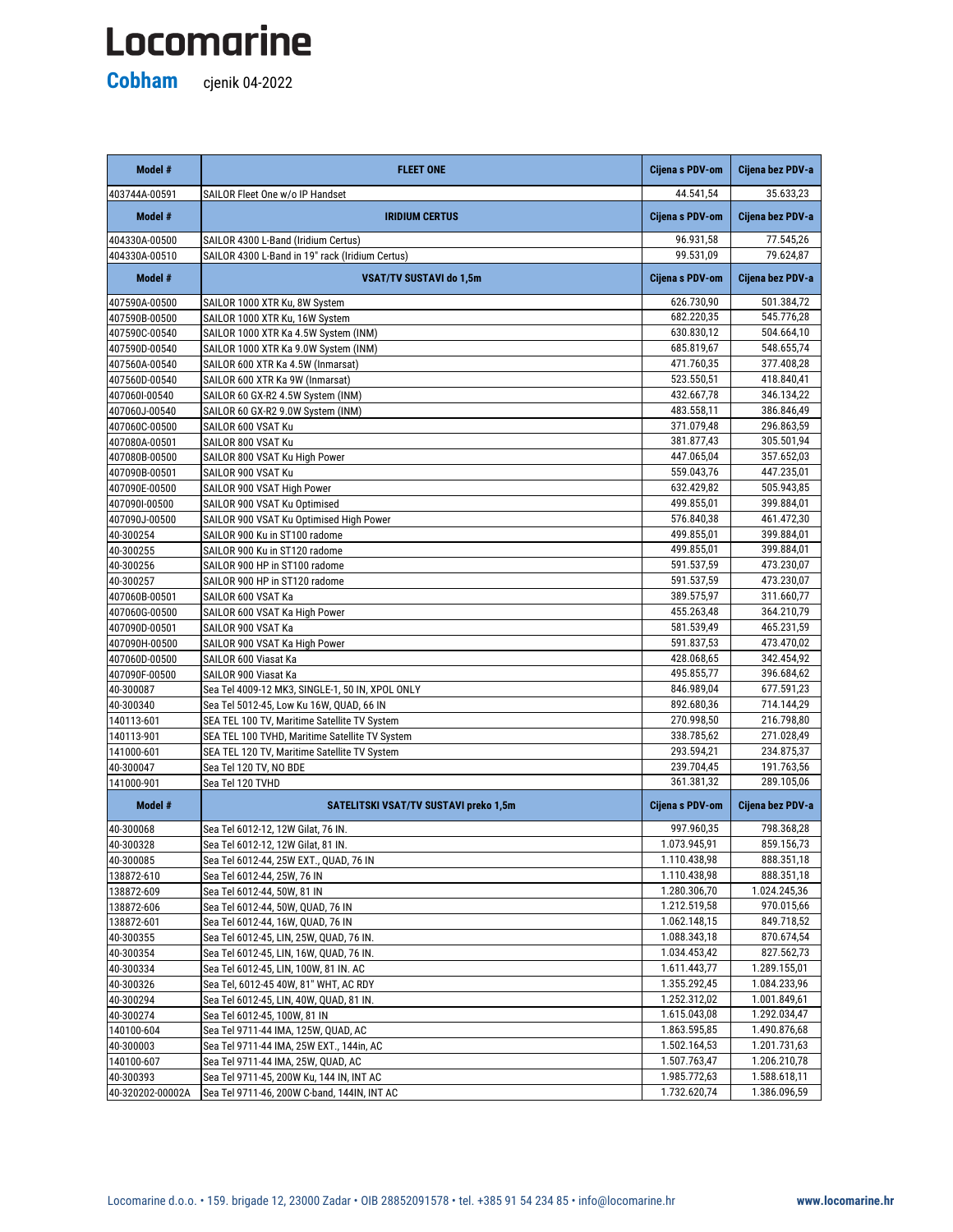## Locomarine

**Cobham** cjenik 04-2022

| 44.541,54<br>35.633,23<br>SAILOR Fleet One w/o IP Handset<br>403744A-00591<br>Model #<br>Cijena s PDV-om<br>Cijena bez PDV-a<br><b>IRIDIUM CERTUS</b><br>96.931,58<br>77.545,26<br>404330A-00500<br>SAILOR 4300 L-Band (Iridium Certus)<br>99.531,09<br>79.624,87<br>SAILOR 4300 L-Band in 19" rack (Iridium Certus)<br>404330A-00510<br>Model #<br>Cijena s PDV-om<br>Cijena bez PDV-a<br><b>VSAT/TV SUSTAVI do 1,5m</b><br>626.730,90<br>501.384,72<br>407590A-00500<br>SAILOR 1000 XTR Ku, 8W System<br>682.220,35<br>545.776,28<br>407590B-00500<br>SAILOR 1000 XTR Ku, 16W System<br>630.830,12<br>504.664,10<br>SAILOR 1000 XTR Ka 4.5W System (INM)<br>407590C-00540<br>685.819,67<br>548.655,74<br>407590D-00540<br>SAILOR 1000 XTR Ka 9.0W System (INM)<br>471.760,35<br>377.408,28<br>SAILOR 600 XTR Ka 4.5W (Inmarsat)<br>407560A-00540<br>523.550,51<br>418.840,41<br>407560D-00540<br>SAILOR 600 XTR Ka 9W (Inmarsat)<br>432.667,78<br>346.134,22<br>407060I-00540<br>SAILOR 60 GX-R2 4.5W System (INM)<br>483.558,11<br>386.846,49<br>407060J-00540<br>SAILOR 60 GX-R2 9.0W System (INM)<br>371.079,48<br>296.863,59<br>407060C-00500<br>SAILOR 600 VSAT Ku<br>381.877,43<br>305.501,94<br>407080A-00501<br>SAILOR 800 VSAT Ku<br>447.065,04<br>357.652,03<br>407080B-00500<br>SAILOR 800 VSAT Ku High Power<br>559.043,76<br>447.235,01<br>407090B-00501<br>SAILOR 900 VSAT Ku<br>632.429,82<br>505.943,85<br>407090E-00500<br>SAILOR 900 VSAT High Power<br>399.884,01<br>499.855,01<br>407090I-00500<br>SAILOR 900 VSAT Ku Optimised<br>SAILOR 900 VSAT Ku Optimised High Power<br>576.840,38<br>461.472,30<br>407090J-00500<br>499.855,01<br>399.884,01<br>40-300254<br>SAILOR 900 Ku in ST100 radome<br>499.855,01<br>399.884,01<br>40-300255<br>SAILOR 900 Ku in ST120 radome<br>473.230,07<br>40-300256<br>SAILOR 900 HP in ST100 radome<br>591.537,59<br>591.537,59<br>473.230,07<br>40-300257<br>SAILOR 900 HP in ST120 radome<br>389.575,97<br>311.660,77<br>407060B-00501<br>SAILOR 600 VSAT Ka<br>364.210,79<br>455.263,48<br>407060G-00500<br>SAILOR 600 VSAT Ka High Power<br>581.539,49<br>465.231,59<br>407090D-00501<br>SAILOR 900 VSAT Ka<br>407090H-00500<br>SAILOR 900 VSAT Ka High Power<br>591.837,53<br>473.470,02<br>428.068,65<br>342.454,92<br>407060D-00500<br>SAILOR 600 Viasat Ka<br>495.855,77<br>396.684,62<br>407090F-00500<br>SAILOR 900 Viasat Ka<br>40-300087<br>846.989,04<br>677.591,23<br>Sea Tel 4009-12 MK3, SINGLE-1, 50 IN, XPOL ONLY<br>892.680,36<br>714.144,29<br>40-300340<br>Sea Tel 5012-45, Low Ku 16W, QUAD, 66 IN<br>270.998,50<br>216.798,80<br>SEA TEL 100 TV, Maritime Satellite TV System<br>140113-601<br>338.785,62<br>271.028,49<br>140113-901<br>SEA TEL 100 TVHD, Maritime Satellite TV System<br>293.594,21<br>234.875,37<br>141000-601<br>SEA TEL 120 TV, Maritime Satellite TV System<br>239.704,45<br>191.763,56<br>40-300047<br>Sea Tel 120 TV, NO BDE<br>289.105,06<br>361.381,32<br>Sea Tel 120 TVHD<br>141000-901<br>Model #<br><b>SATELITSKI VSAT/TV SUSTAVI preko 1,5m</b><br>Cijena bez PDV-a<br><b>Cijena s PDV-om</b><br>997.960,35<br>798.368,28<br>40-300068<br>Sea Tel 6012-12, 12W Gilat, 76 IN.<br>1.073.945,91<br>859.156,73<br>40-300328<br>Sea Tel 6012-12, 12W Gilat, 81 IN.<br>1.110.438,98<br>888.351,18<br>40-300085<br>Sea Tel 6012-44, 25W EXT., QUAD, 76 IN<br>888.351,18<br>1.110.438,98<br>138872-610<br>Sea Tel 6012-44, 25W, 76 IN<br>1.280.306,70<br>1.024.245,36<br>138872-609<br>Sea Tel 6012-44, 50W, 81 IN<br>1.212.519,58<br>970.015,66<br>138872-606<br>Sea Tel 6012-44, 50W, QUAD, 76 IN<br>1.062.148,15<br>849.718,52<br>138872-601<br>Sea Tel 6012-44, 16W, QUAD, 76 IN<br>40-300355<br>1.088.343,18<br>870.674,54<br>Sea Tel 6012-45, LIN, 25W, QUAD, 76 IN.<br>1.034.453,42<br>827.562,73<br>40-300354<br>Sea Tel 6012-45, LIN, 16W, QUAD, 76 IN.<br>1.611.443,77<br>1.289.155,01<br>40-300334<br>Sea Tel 6012-45, LIN, 100W, 81 IN. AC<br>1.355.292,45<br>40-300326<br>Sea Tel, 6012-45 40W, 81" WHT, AC RDY<br>1.084.233,96<br>1.252.312,02<br>1.001.849,61<br>40-300294<br>Sea Tel 6012-45, LIN, 40W, QUAD, 81 IN.<br>1.615.043,08<br>40-300274<br>Sea Tel 6012-45, 100W, 81 IN<br>1.292.034,47<br>1.863.595,85<br>1.490.876,68<br>140100-604<br>Sea Tel 9711-44 IMA, 125W, QUAD, AC<br>1.502.164,53<br>1.201.731,63<br>40-300003<br>Sea Tel 9711-44 IMA, 25W EXT., 144in, AC<br>1.507.763,47<br>140100-607<br>1.206.210,78<br>Sea Tel 9711-44 IMA, 25W, QUAD, AC<br>1.985.772,63<br>1.588.618,11<br>40-300393<br>Sea Tel 9711-45, 200W Ku, 144 IN, INT AC | Model #          | <b>FLEET ONE</b>                            | Cijena s PDV-om | Cijena bez PDV-a |
|-------------------------------------------------------------------------------------------------------------------------------------------------------------------------------------------------------------------------------------------------------------------------------------------------------------------------------------------------------------------------------------------------------------------------------------------------------------------------------------------------------------------------------------------------------------------------------------------------------------------------------------------------------------------------------------------------------------------------------------------------------------------------------------------------------------------------------------------------------------------------------------------------------------------------------------------------------------------------------------------------------------------------------------------------------------------------------------------------------------------------------------------------------------------------------------------------------------------------------------------------------------------------------------------------------------------------------------------------------------------------------------------------------------------------------------------------------------------------------------------------------------------------------------------------------------------------------------------------------------------------------------------------------------------------------------------------------------------------------------------------------------------------------------------------------------------------------------------------------------------------------------------------------------------------------------------------------------------------------------------------------------------------------------------------------------------------------------------------------------------------------------------------------------------------------------------------------------------------------------------------------------------------------------------------------------------------------------------------------------------------------------------------------------------------------------------------------------------------------------------------------------------------------------------------------------------------------------------------------------------------------------------------------------------------------------------------------------------------------------------------------------------------------------------------------------------------------------------------------------------------------------------------------------------------------------------------------------------------------------------------------------------------------------------------------------------------------------------------------------------------------------------------------------------------------------------------------------------------------------------------------------------------------------------------------------------------------------------------------------------------------------------------------------------------------------------------------------------------------------------------------------------------------------------------------------------------------------------------------------------------------------------------------------------------------------------------------------------------------------------------------------------------------------------------------------------------------------------------------------------------------------------------------------------------------------------------------------------------------------------------------------------------------------------------------------------------------------------------------------------------------------------------------------------------------------------------------------------------------------------------------------------------------------------------------------------------------------------------------------------------------------------------------------------------------------------------------------------------------------------------------------------------------------------------------------------------------------|------------------|---------------------------------------------|-----------------|------------------|
|                                                                                                                                                                                                                                                                                                                                                                                                                                                                                                                                                                                                                                                                                                                                                                                                                                                                                                                                                                                                                                                                                                                                                                                                                                                                                                                                                                                                                                                                                                                                                                                                                                                                                                                                                                                                                                                                                                                                                                                                                                                                                                                                                                                                                                                                                                                                                                                                                                                                                                                                                                                                                                                                                                                                                                                                                                                                                                                                                                                                                                                                                                                                                                                                                                                                                                                                                                                                                                                                                                                                                                                                                                                                                                                                                                                                                                                                                                                                                                                                                                                                                                                                                                                                                                                                                                                                                                                                                                                                                                                                                                                     |                  |                                             |                 |                  |
|                                                                                                                                                                                                                                                                                                                                                                                                                                                                                                                                                                                                                                                                                                                                                                                                                                                                                                                                                                                                                                                                                                                                                                                                                                                                                                                                                                                                                                                                                                                                                                                                                                                                                                                                                                                                                                                                                                                                                                                                                                                                                                                                                                                                                                                                                                                                                                                                                                                                                                                                                                                                                                                                                                                                                                                                                                                                                                                                                                                                                                                                                                                                                                                                                                                                                                                                                                                                                                                                                                                                                                                                                                                                                                                                                                                                                                                                                                                                                                                                                                                                                                                                                                                                                                                                                                                                                                                                                                                                                                                                                                                     |                  |                                             |                 |                  |
|                                                                                                                                                                                                                                                                                                                                                                                                                                                                                                                                                                                                                                                                                                                                                                                                                                                                                                                                                                                                                                                                                                                                                                                                                                                                                                                                                                                                                                                                                                                                                                                                                                                                                                                                                                                                                                                                                                                                                                                                                                                                                                                                                                                                                                                                                                                                                                                                                                                                                                                                                                                                                                                                                                                                                                                                                                                                                                                                                                                                                                                                                                                                                                                                                                                                                                                                                                                                                                                                                                                                                                                                                                                                                                                                                                                                                                                                                                                                                                                                                                                                                                                                                                                                                                                                                                                                                                                                                                                                                                                                                                                     |                  |                                             |                 |                  |
|                                                                                                                                                                                                                                                                                                                                                                                                                                                                                                                                                                                                                                                                                                                                                                                                                                                                                                                                                                                                                                                                                                                                                                                                                                                                                                                                                                                                                                                                                                                                                                                                                                                                                                                                                                                                                                                                                                                                                                                                                                                                                                                                                                                                                                                                                                                                                                                                                                                                                                                                                                                                                                                                                                                                                                                                                                                                                                                                                                                                                                                                                                                                                                                                                                                                                                                                                                                                                                                                                                                                                                                                                                                                                                                                                                                                                                                                                                                                                                                                                                                                                                                                                                                                                                                                                                                                                                                                                                                                                                                                                                                     |                  |                                             |                 |                  |
|                                                                                                                                                                                                                                                                                                                                                                                                                                                                                                                                                                                                                                                                                                                                                                                                                                                                                                                                                                                                                                                                                                                                                                                                                                                                                                                                                                                                                                                                                                                                                                                                                                                                                                                                                                                                                                                                                                                                                                                                                                                                                                                                                                                                                                                                                                                                                                                                                                                                                                                                                                                                                                                                                                                                                                                                                                                                                                                                                                                                                                                                                                                                                                                                                                                                                                                                                                                                                                                                                                                                                                                                                                                                                                                                                                                                                                                                                                                                                                                                                                                                                                                                                                                                                                                                                                                                                                                                                                                                                                                                                                                     |                  |                                             |                 |                  |
|                                                                                                                                                                                                                                                                                                                                                                                                                                                                                                                                                                                                                                                                                                                                                                                                                                                                                                                                                                                                                                                                                                                                                                                                                                                                                                                                                                                                                                                                                                                                                                                                                                                                                                                                                                                                                                                                                                                                                                                                                                                                                                                                                                                                                                                                                                                                                                                                                                                                                                                                                                                                                                                                                                                                                                                                                                                                                                                                                                                                                                                                                                                                                                                                                                                                                                                                                                                                                                                                                                                                                                                                                                                                                                                                                                                                                                                                                                                                                                                                                                                                                                                                                                                                                                                                                                                                                                                                                                                                                                                                                                                     |                  |                                             |                 |                  |
|                                                                                                                                                                                                                                                                                                                                                                                                                                                                                                                                                                                                                                                                                                                                                                                                                                                                                                                                                                                                                                                                                                                                                                                                                                                                                                                                                                                                                                                                                                                                                                                                                                                                                                                                                                                                                                                                                                                                                                                                                                                                                                                                                                                                                                                                                                                                                                                                                                                                                                                                                                                                                                                                                                                                                                                                                                                                                                                                                                                                                                                                                                                                                                                                                                                                                                                                                                                                                                                                                                                                                                                                                                                                                                                                                                                                                                                                                                                                                                                                                                                                                                                                                                                                                                                                                                                                                                                                                                                                                                                                                                                     |                  |                                             |                 |                  |
|                                                                                                                                                                                                                                                                                                                                                                                                                                                                                                                                                                                                                                                                                                                                                                                                                                                                                                                                                                                                                                                                                                                                                                                                                                                                                                                                                                                                                                                                                                                                                                                                                                                                                                                                                                                                                                                                                                                                                                                                                                                                                                                                                                                                                                                                                                                                                                                                                                                                                                                                                                                                                                                                                                                                                                                                                                                                                                                                                                                                                                                                                                                                                                                                                                                                                                                                                                                                                                                                                                                                                                                                                                                                                                                                                                                                                                                                                                                                                                                                                                                                                                                                                                                                                                                                                                                                                                                                                                                                                                                                                                                     |                  |                                             |                 |                  |
|                                                                                                                                                                                                                                                                                                                                                                                                                                                                                                                                                                                                                                                                                                                                                                                                                                                                                                                                                                                                                                                                                                                                                                                                                                                                                                                                                                                                                                                                                                                                                                                                                                                                                                                                                                                                                                                                                                                                                                                                                                                                                                                                                                                                                                                                                                                                                                                                                                                                                                                                                                                                                                                                                                                                                                                                                                                                                                                                                                                                                                                                                                                                                                                                                                                                                                                                                                                                                                                                                                                                                                                                                                                                                                                                                                                                                                                                                                                                                                                                                                                                                                                                                                                                                                                                                                                                                                                                                                                                                                                                                                                     |                  |                                             |                 |                  |
|                                                                                                                                                                                                                                                                                                                                                                                                                                                                                                                                                                                                                                                                                                                                                                                                                                                                                                                                                                                                                                                                                                                                                                                                                                                                                                                                                                                                                                                                                                                                                                                                                                                                                                                                                                                                                                                                                                                                                                                                                                                                                                                                                                                                                                                                                                                                                                                                                                                                                                                                                                                                                                                                                                                                                                                                                                                                                                                                                                                                                                                                                                                                                                                                                                                                                                                                                                                                                                                                                                                                                                                                                                                                                                                                                                                                                                                                                                                                                                                                                                                                                                                                                                                                                                                                                                                                                                                                                                                                                                                                                                                     |                  |                                             |                 |                  |
|                                                                                                                                                                                                                                                                                                                                                                                                                                                                                                                                                                                                                                                                                                                                                                                                                                                                                                                                                                                                                                                                                                                                                                                                                                                                                                                                                                                                                                                                                                                                                                                                                                                                                                                                                                                                                                                                                                                                                                                                                                                                                                                                                                                                                                                                                                                                                                                                                                                                                                                                                                                                                                                                                                                                                                                                                                                                                                                                                                                                                                                                                                                                                                                                                                                                                                                                                                                                                                                                                                                                                                                                                                                                                                                                                                                                                                                                                                                                                                                                                                                                                                                                                                                                                                                                                                                                                                                                                                                                                                                                                                                     |                  |                                             |                 |                  |
|                                                                                                                                                                                                                                                                                                                                                                                                                                                                                                                                                                                                                                                                                                                                                                                                                                                                                                                                                                                                                                                                                                                                                                                                                                                                                                                                                                                                                                                                                                                                                                                                                                                                                                                                                                                                                                                                                                                                                                                                                                                                                                                                                                                                                                                                                                                                                                                                                                                                                                                                                                                                                                                                                                                                                                                                                                                                                                                                                                                                                                                                                                                                                                                                                                                                                                                                                                                                                                                                                                                                                                                                                                                                                                                                                                                                                                                                                                                                                                                                                                                                                                                                                                                                                                                                                                                                                                                                                                                                                                                                                                                     |                  |                                             |                 |                  |
|                                                                                                                                                                                                                                                                                                                                                                                                                                                                                                                                                                                                                                                                                                                                                                                                                                                                                                                                                                                                                                                                                                                                                                                                                                                                                                                                                                                                                                                                                                                                                                                                                                                                                                                                                                                                                                                                                                                                                                                                                                                                                                                                                                                                                                                                                                                                                                                                                                                                                                                                                                                                                                                                                                                                                                                                                                                                                                                                                                                                                                                                                                                                                                                                                                                                                                                                                                                                                                                                                                                                                                                                                                                                                                                                                                                                                                                                                                                                                                                                                                                                                                                                                                                                                                                                                                                                                                                                                                                                                                                                                                                     |                  |                                             |                 |                  |
|                                                                                                                                                                                                                                                                                                                                                                                                                                                                                                                                                                                                                                                                                                                                                                                                                                                                                                                                                                                                                                                                                                                                                                                                                                                                                                                                                                                                                                                                                                                                                                                                                                                                                                                                                                                                                                                                                                                                                                                                                                                                                                                                                                                                                                                                                                                                                                                                                                                                                                                                                                                                                                                                                                                                                                                                                                                                                                                                                                                                                                                                                                                                                                                                                                                                                                                                                                                                                                                                                                                                                                                                                                                                                                                                                                                                                                                                                                                                                                                                                                                                                                                                                                                                                                                                                                                                                                                                                                                                                                                                                                                     |                  |                                             |                 |                  |
|                                                                                                                                                                                                                                                                                                                                                                                                                                                                                                                                                                                                                                                                                                                                                                                                                                                                                                                                                                                                                                                                                                                                                                                                                                                                                                                                                                                                                                                                                                                                                                                                                                                                                                                                                                                                                                                                                                                                                                                                                                                                                                                                                                                                                                                                                                                                                                                                                                                                                                                                                                                                                                                                                                                                                                                                                                                                                                                                                                                                                                                                                                                                                                                                                                                                                                                                                                                                                                                                                                                                                                                                                                                                                                                                                                                                                                                                                                                                                                                                                                                                                                                                                                                                                                                                                                                                                                                                                                                                                                                                                                                     |                  |                                             |                 |                  |
|                                                                                                                                                                                                                                                                                                                                                                                                                                                                                                                                                                                                                                                                                                                                                                                                                                                                                                                                                                                                                                                                                                                                                                                                                                                                                                                                                                                                                                                                                                                                                                                                                                                                                                                                                                                                                                                                                                                                                                                                                                                                                                                                                                                                                                                                                                                                                                                                                                                                                                                                                                                                                                                                                                                                                                                                                                                                                                                                                                                                                                                                                                                                                                                                                                                                                                                                                                                                                                                                                                                                                                                                                                                                                                                                                                                                                                                                                                                                                                                                                                                                                                                                                                                                                                                                                                                                                                                                                                                                                                                                                                                     |                  |                                             |                 |                  |
|                                                                                                                                                                                                                                                                                                                                                                                                                                                                                                                                                                                                                                                                                                                                                                                                                                                                                                                                                                                                                                                                                                                                                                                                                                                                                                                                                                                                                                                                                                                                                                                                                                                                                                                                                                                                                                                                                                                                                                                                                                                                                                                                                                                                                                                                                                                                                                                                                                                                                                                                                                                                                                                                                                                                                                                                                                                                                                                                                                                                                                                                                                                                                                                                                                                                                                                                                                                                                                                                                                                                                                                                                                                                                                                                                                                                                                                                                                                                                                                                                                                                                                                                                                                                                                                                                                                                                                                                                                                                                                                                                                                     |                  |                                             |                 |                  |
|                                                                                                                                                                                                                                                                                                                                                                                                                                                                                                                                                                                                                                                                                                                                                                                                                                                                                                                                                                                                                                                                                                                                                                                                                                                                                                                                                                                                                                                                                                                                                                                                                                                                                                                                                                                                                                                                                                                                                                                                                                                                                                                                                                                                                                                                                                                                                                                                                                                                                                                                                                                                                                                                                                                                                                                                                                                                                                                                                                                                                                                                                                                                                                                                                                                                                                                                                                                                                                                                                                                                                                                                                                                                                                                                                                                                                                                                                                                                                                                                                                                                                                                                                                                                                                                                                                                                                                                                                                                                                                                                                                                     |                  |                                             |                 |                  |
|                                                                                                                                                                                                                                                                                                                                                                                                                                                                                                                                                                                                                                                                                                                                                                                                                                                                                                                                                                                                                                                                                                                                                                                                                                                                                                                                                                                                                                                                                                                                                                                                                                                                                                                                                                                                                                                                                                                                                                                                                                                                                                                                                                                                                                                                                                                                                                                                                                                                                                                                                                                                                                                                                                                                                                                                                                                                                                                                                                                                                                                                                                                                                                                                                                                                                                                                                                                                                                                                                                                                                                                                                                                                                                                                                                                                                                                                                                                                                                                                                                                                                                                                                                                                                                                                                                                                                                                                                                                                                                                                                                                     |                  |                                             |                 |                  |
|                                                                                                                                                                                                                                                                                                                                                                                                                                                                                                                                                                                                                                                                                                                                                                                                                                                                                                                                                                                                                                                                                                                                                                                                                                                                                                                                                                                                                                                                                                                                                                                                                                                                                                                                                                                                                                                                                                                                                                                                                                                                                                                                                                                                                                                                                                                                                                                                                                                                                                                                                                                                                                                                                                                                                                                                                                                                                                                                                                                                                                                                                                                                                                                                                                                                                                                                                                                                                                                                                                                                                                                                                                                                                                                                                                                                                                                                                                                                                                                                                                                                                                                                                                                                                                                                                                                                                                                                                                                                                                                                                                                     |                  |                                             |                 |                  |
|                                                                                                                                                                                                                                                                                                                                                                                                                                                                                                                                                                                                                                                                                                                                                                                                                                                                                                                                                                                                                                                                                                                                                                                                                                                                                                                                                                                                                                                                                                                                                                                                                                                                                                                                                                                                                                                                                                                                                                                                                                                                                                                                                                                                                                                                                                                                                                                                                                                                                                                                                                                                                                                                                                                                                                                                                                                                                                                                                                                                                                                                                                                                                                                                                                                                                                                                                                                                                                                                                                                                                                                                                                                                                                                                                                                                                                                                                                                                                                                                                                                                                                                                                                                                                                                                                                                                                                                                                                                                                                                                                                                     |                  |                                             |                 |                  |
|                                                                                                                                                                                                                                                                                                                                                                                                                                                                                                                                                                                                                                                                                                                                                                                                                                                                                                                                                                                                                                                                                                                                                                                                                                                                                                                                                                                                                                                                                                                                                                                                                                                                                                                                                                                                                                                                                                                                                                                                                                                                                                                                                                                                                                                                                                                                                                                                                                                                                                                                                                                                                                                                                                                                                                                                                                                                                                                                                                                                                                                                                                                                                                                                                                                                                                                                                                                                                                                                                                                                                                                                                                                                                                                                                                                                                                                                                                                                                                                                                                                                                                                                                                                                                                                                                                                                                                                                                                                                                                                                                                                     |                  |                                             |                 |                  |
|                                                                                                                                                                                                                                                                                                                                                                                                                                                                                                                                                                                                                                                                                                                                                                                                                                                                                                                                                                                                                                                                                                                                                                                                                                                                                                                                                                                                                                                                                                                                                                                                                                                                                                                                                                                                                                                                                                                                                                                                                                                                                                                                                                                                                                                                                                                                                                                                                                                                                                                                                                                                                                                                                                                                                                                                                                                                                                                                                                                                                                                                                                                                                                                                                                                                                                                                                                                                                                                                                                                                                                                                                                                                                                                                                                                                                                                                                                                                                                                                                                                                                                                                                                                                                                                                                                                                                                                                                                                                                                                                                                                     |                  |                                             |                 |                  |
|                                                                                                                                                                                                                                                                                                                                                                                                                                                                                                                                                                                                                                                                                                                                                                                                                                                                                                                                                                                                                                                                                                                                                                                                                                                                                                                                                                                                                                                                                                                                                                                                                                                                                                                                                                                                                                                                                                                                                                                                                                                                                                                                                                                                                                                                                                                                                                                                                                                                                                                                                                                                                                                                                                                                                                                                                                                                                                                                                                                                                                                                                                                                                                                                                                                                                                                                                                                                                                                                                                                                                                                                                                                                                                                                                                                                                                                                                                                                                                                                                                                                                                                                                                                                                                                                                                                                                                                                                                                                                                                                                                                     |                  |                                             |                 |                  |
|                                                                                                                                                                                                                                                                                                                                                                                                                                                                                                                                                                                                                                                                                                                                                                                                                                                                                                                                                                                                                                                                                                                                                                                                                                                                                                                                                                                                                                                                                                                                                                                                                                                                                                                                                                                                                                                                                                                                                                                                                                                                                                                                                                                                                                                                                                                                                                                                                                                                                                                                                                                                                                                                                                                                                                                                                                                                                                                                                                                                                                                                                                                                                                                                                                                                                                                                                                                                                                                                                                                                                                                                                                                                                                                                                                                                                                                                                                                                                                                                                                                                                                                                                                                                                                                                                                                                                                                                                                                                                                                                                                                     |                  |                                             |                 |                  |
|                                                                                                                                                                                                                                                                                                                                                                                                                                                                                                                                                                                                                                                                                                                                                                                                                                                                                                                                                                                                                                                                                                                                                                                                                                                                                                                                                                                                                                                                                                                                                                                                                                                                                                                                                                                                                                                                                                                                                                                                                                                                                                                                                                                                                                                                                                                                                                                                                                                                                                                                                                                                                                                                                                                                                                                                                                                                                                                                                                                                                                                                                                                                                                                                                                                                                                                                                                                                                                                                                                                                                                                                                                                                                                                                                                                                                                                                                                                                                                                                                                                                                                                                                                                                                                                                                                                                                                                                                                                                                                                                                                                     |                  |                                             |                 |                  |
|                                                                                                                                                                                                                                                                                                                                                                                                                                                                                                                                                                                                                                                                                                                                                                                                                                                                                                                                                                                                                                                                                                                                                                                                                                                                                                                                                                                                                                                                                                                                                                                                                                                                                                                                                                                                                                                                                                                                                                                                                                                                                                                                                                                                                                                                                                                                                                                                                                                                                                                                                                                                                                                                                                                                                                                                                                                                                                                                                                                                                                                                                                                                                                                                                                                                                                                                                                                                                                                                                                                                                                                                                                                                                                                                                                                                                                                                                                                                                                                                                                                                                                                                                                                                                                                                                                                                                                                                                                                                                                                                                                                     |                  |                                             |                 |                  |
|                                                                                                                                                                                                                                                                                                                                                                                                                                                                                                                                                                                                                                                                                                                                                                                                                                                                                                                                                                                                                                                                                                                                                                                                                                                                                                                                                                                                                                                                                                                                                                                                                                                                                                                                                                                                                                                                                                                                                                                                                                                                                                                                                                                                                                                                                                                                                                                                                                                                                                                                                                                                                                                                                                                                                                                                                                                                                                                                                                                                                                                                                                                                                                                                                                                                                                                                                                                                                                                                                                                                                                                                                                                                                                                                                                                                                                                                                                                                                                                                                                                                                                                                                                                                                                                                                                                                                                                                                                                                                                                                                                                     |                  |                                             |                 |                  |
|                                                                                                                                                                                                                                                                                                                                                                                                                                                                                                                                                                                                                                                                                                                                                                                                                                                                                                                                                                                                                                                                                                                                                                                                                                                                                                                                                                                                                                                                                                                                                                                                                                                                                                                                                                                                                                                                                                                                                                                                                                                                                                                                                                                                                                                                                                                                                                                                                                                                                                                                                                                                                                                                                                                                                                                                                                                                                                                                                                                                                                                                                                                                                                                                                                                                                                                                                                                                                                                                                                                                                                                                                                                                                                                                                                                                                                                                                                                                                                                                                                                                                                                                                                                                                                                                                                                                                                                                                                                                                                                                                                                     |                  |                                             |                 |                  |
|                                                                                                                                                                                                                                                                                                                                                                                                                                                                                                                                                                                                                                                                                                                                                                                                                                                                                                                                                                                                                                                                                                                                                                                                                                                                                                                                                                                                                                                                                                                                                                                                                                                                                                                                                                                                                                                                                                                                                                                                                                                                                                                                                                                                                                                                                                                                                                                                                                                                                                                                                                                                                                                                                                                                                                                                                                                                                                                                                                                                                                                                                                                                                                                                                                                                                                                                                                                                                                                                                                                                                                                                                                                                                                                                                                                                                                                                                                                                                                                                                                                                                                                                                                                                                                                                                                                                                                                                                                                                                                                                                                                     |                  |                                             |                 |                  |
|                                                                                                                                                                                                                                                                                                                                                                                                                                                                                                                                                                                                                                                                                                                                                                                                                                                                                                                                                                                                                                                                                                                                                                                                                                                                                                                                                                                                                                                                                                                                                                                                                                                                                                                                                                                                                                                                                                                                                                                                                                                                                                                                                                                                                                                                                                                                                                                                                                                                                                                                                                                                                                                                                                                                                                                                                                                                                                                                                                                                                                                                                                                                                                                                                                                                                                                                                                                                                                                                                                                                                                                                                                                                                                                                                                                                                                                                                                                                                                                                                                                                                                                                                                                                                                                                                                                                                                                                                                                                                                                                                                                     |                  |                                             |                 |                  |
|                                                                                                                                                                                                                                                                                                                                                                                                                                                                                                                                                                                                                                                                                                                                                                                                                                                                                                                                                                                                                                                                                                                                                                                                                                                                                                                                                                                                                                                                                                                                                                                                                                                                                                                                                                                                                                                                                                                                                                                                                                                                                                                                                                                                                                                                                                                                                                                                                                                                                                                                                                                                                                                                                                                                                                                                                                                                                                                                                                                                                                                                                                                                                                                                                                                                                                                                                                                                                                                                                                                                                                                                                                                                                                                                                                                                                                                                                                                                                                                                                                                                                                                                                                                                                                                                                                                                                                                                                                                                                                                                                                                     |                  |                                             |                 |                  |
|                                                                                                                                                                                                                                                                                                                                                                                                                                                                                                                                                                                                                                                                                                                                                                                                                                                                                                                                                                                                                                                                                                                                                                                                                                                                                                                                                                                                                                                                                                                                                                                                                                                                                                                                                                                                                                                                                                                                                                                                                                                                                                                                                                                                                                                                                                                                                                                                                                                                                                                                                                                                                                                                                                                                                                                                                                                                                                                                                                                                                                                                                                                                                                                                                                                                                                                                                                                                                                                                                                                                                                                                                                                                                                                                                                                                                                                                                                                                                                                                                                                                                                                                                                                                                                                                                                                                                                                                                                                                                                                                                                                     |                  |                                             |                 |                  |
|                                                                                                                                                                                                                                                                                                                                                                                                                                                                                                                                                                                                                                                                                                                                                                                                                                                                                                                                                                                                                                                                                                                                                                                                                                                                                                                                                                                                                                                                                                                                                                                                                                                                                                                                                                                                                                                                                                                                                                                                                                                                                                                                                                                                                                                                                                                                                                                                                                                                                                                                                                                                                                                                                                                                                                                                                                                                                                                                                                                                                                                                                                                                                                                                                                                                                                                                                                                                                                                                                                                                                                                                                                                                                                                                                                                                                                                                                                                                                                                                                                                                                                                                                                                                                                                                                                                                                                                                                                                                                                                                                                                     |                  |                                             |                 |                  |
|                                                                                                                                                                                                                                                                                                                                                                                                                                                                                                                                                                                                                                                                                                                                                                                                                                                                                                                                                                                                                                                                                                                                                                                                                                                                                                                                                                                                                                                                                                                                                                                                                                                                                                                                                                                                                                                                                                                                                                                                                                                                                                                                                                                                                                                                                                                                                                                                                                                                                                                                                                                                                                                                                                                                                                                                                                                                                                                                                                                                                                                                                                                                                                                                                                                                                                                                                                                                                                                                                                                                                                                                                                                                                                                                                                                                                                                                                                                                                                                                                                                                                                                                                                                                                                                                                                                                                                                                                                                                                                                                                                                     |                  |                                             |                 |                  |
|                                                                                                                                                                                                                                                                                                                                                                                                                                                                                                                                                                                                                                                                                                                                                                                                                                                                                                                                                                                                                                                                                                                                                                                                                                                                                                                                                                                                                                                                                                                                                                                                                                                                                                                                                                                                                                                                                                                                                                                                                                                                                                                                                                                                                                                                                                                                                                                                                                                                                                                                                                                                                                                                                                                                                                                                                                                                                                                                                                                                                                                                                                                                                                                                                                                                                                                                                                                                                                                                                                                                                                                                                                                                                                                                                                                                                                                                                                                                                                                                                                                                                                                                                                                                                                                                                                                                                                                                                                                                                                                                                                                     |                  |                                             |                 |                  |
|                                                                                                                                                                                                                                                                                                                                                                                                                                                                                                                                                                                                                                                                                                                                                                                                                                                                                                                                                                                                                                                                                                                                                                                                                                                                                                                                                                                                                                                                                                                                                                                                                                                                                                                                                                                                                                                                                                                                                                                                                                                                                                                                                                                                                                                                                                                                                                                                                                                                                                                                                                                                                                                                                                                                                                                                                                                                                                                                                                                                                                                                                                                                                                                                                                                                                                                                                                                                                                                                                                                                                                                                                                                                                                                                                                                                                                                                                                                                                                                                                                                                                                                                                                                                                                                                                                                                                                                                                                                                                                                                                                                     |                  |                                             |                 |                  |
|                                                                                                                                                                                                                                                                                                                                                                                                                                                                                                                                                                                                                                                                                                                                                                                                                                                                                                                                                                                                                                                                                                                                                                                                                                                                                                                                                                                                                                                                                                                                                                                                                                                                                                                                                                                                                                                                                                                                                                                                                                                                                                                                                                                                                                                                                                                                                                                                                                                                                                                                                                                                                                                                                                                                                                                                                                                                                                                                                                                                                                                                                                                                                                                                                                                                                                                                                                                                                                                                                                                                                                                                                                                                                                                                                                                                                                                                                                                                                                                                                                                                                                                                                                                                                                                                                                                                                                                                                                                                                                                                                                                     |                  |                                             |                 |                  |
|                                                                                                                                                                                                                                                                                                                                                                                                                                                                                                                                                                                                                                                                                                                                                                                                                                                                                                                                                                                                                                                                                                                                                                                                                                                                                                                                                                                                                                                                                                                                                                                                                                                                                                                                                                                                                                                                                                                                                                                                                                                                                                                                                                                                                                                                                                                                                                                                                                                                                                                                                                                                                                                                                                                                                                                                                                                                                                                                                                                                                                                                                                                                                                                                                                                                                                                                                                                                                                                                                                                                                                                                                                                                                                                                                                                                                                                                                                                                                                                                                                                                                                                                                                                                                                                                                                                                                                                                                                                                                                                                                                                     |                  |                                             |                 |                  |
|                                                                                                                                                                                                                                                                                                                                                                                                                                                                                                                                                                                                                                                                                                                                                                                                                                                                                                                                                                                                                                                                                                                                                                                                                                                                                                                                                                                                                                                                                                                                                                                                                                                                                                                                                                                                                                                                                                                                                                                                                                                                                                                                                                                                                                                                                                                                                                                                                                                                                                                                                                                                                                                                                                                                                                                                                                                                                                                                                                                                                                                                                                                                                                                                                                                                                                                                                                                                                                                                                                                                                                                                                                                                                                                                                                                                                                                                                                                                                                                                                                                                                                                                                                                                                                                                                                                                                                                                                                                                                                                                                                                     |                  |                                             |                 |                  |
|                                                                                                                                                                                                                                                                                                                                                                                                                                                                                                                                                                                                                                                                                                                                                                                                                                                                                                                                                                                                                                                                                                                                                                                                                                                                                                                                                                                                                                                                                                                                                                                                                                                                                                                                                                                                                                                                                                                                                                                                                                                                                                                                                                                                                                                                                                                                                                                                                                                                                                                                                                                                                                                                                                                                                                                                                                                                                                                                                                                                                                                                                                                                                                                                                                                                                                                                                                                                                                                                                                                                                                                                                                                                                                                                                                                                                                                                                                                                                                                                                                                                                                                                                                                                                                                                                                                                                                                                                                                                                                                                                                                     |                  |                                             |                 |                  |
|                                                                                                                                                                                                                                                                                                                                                                                                                                                                                                                                                                                                                                                                                                                                                                                                                                                                                                                                                                                                                                                                                                                                                                                                                                                                                                                                                                                                                                                                                                                                                                                                                                                                                                                                                                                                                                                                                                                                                                                                                                                                                                                                                                                                                                                                                                                                                                                                                                                                                                                                                                                                                                                                                                                                                                                                                                                                                                                                                                                                                                                                                                                                                                                                                                                                                                                                                                                                                                                                                                                                                                                                                                                                                                                                                                                                                                                                                                                                                                                                                                                                                                                                                                                                                                                                                                                                                                                                                                                                                                                                                                                     |                  |                                             |                 |                  |
|                                                                                                                                                                                                                                                                                                                                                                                                                                                                                                                                                                                                                                                                                                                                                                                                                                                                                                                                                                                                                                                                                                                                                                                                                                                                                                                                                                                                                                                                                                                                                                                                                                                                                                                                                                                                                                                                                                                                                                                                                                                                                                                                                                                                                                                                                                                                                                                                                                                                                                                                                                                                                                                                                                                                                                                                                                                                                                                                                                                                                                                                                                                                                                                                                                                                                                                                                                                                                                                                                                                                                                                                                                                                                                                                                                                                                                                                                                                                                                                                                                                                                                                                                                                                                                                                                                                                                                                                                                                                                                                                                                                     |                  |                                             |                 |                  |
|                                                                                                                                                                                                                                                                                                                                                                                                                                                                                                                                                                                                                                                                                                                                                                                                                                                                                                                                                                                                                                                                                                                                                                                                                                                                                                                                                                                                                                                                                                                                                                                                                                                                                                                                                                                                                                                                                                                                                                                                                                                                                                                                                                                                                                                                                                                                                                                                                                                                                                                                                                                                                                                                                                                                                                                                                                                                                                                                                                                                                                                                                                                                                                                                                                                                                                                                                                                                                                                                                                                                                                                                                                                                                                                                                                                                                                                                                                                                                                                                                                                                                                                                                                                                                                                                                                                                                                                                                                                                                                                                                                                     |                  |                                             |                 |                  |
|                                                                                                                                                                                                                                                                                                                                                                                                                                                                                                                                                                                                                                                                                                                                                                                                                                                                                                                                                                                                                                                                                                                                                                                                                                                                                                                                                                                                                                                                                                                                                                                                                                                                                                                                                                                                                                                                                                                                                                                                                                                                                                                                                                                                                                                                                                                                                                                                                                                                                                                                                                                                                                                                                                                                                                                                                                                                                                                                                                                                                                                                                                                                                                                                                                                                                                                                                                                                                                                                                                                                                                                                                                                                                                                                                                                                                                                                                                                                                                                                                                                                                                                                                                                                                                                                                                                                                                                                                                                                                                                                                                                     |                  |                                             |                 |                  |
|                                                                                                                                                                                                                                                                                                                                                                                                                                                                                                                                                                                                                                                                                                                                                                                                                                                                                                                                                                                                                                                                                                                                                                                                                                                                                                                                                                                                                                                                                                                                                                                                                                                                                                                                                                                                                                                                                                                                                                                                                                                                                                                                                                                                                                                                                                                                                                                                                                                                                                                                                                                                                                                                                                                                                                                                                                                                                                                                                                                                                                                                                                                                                                                                                                                                                                                                                                                                                                                                                                                                                                                                                                                                                                                                                                                                                                                                                                                                                                                                                                                                                                                                                                                                                                                                                                                                                                                                                                                                                                                                                                                     |                  |                                             |                 |                  |
|                                                                                                                                                                                                                                                                                                                                                                                                                                                                                                                                                                                                                                                                                                                                                                                                                                                                                                                                                                                                                                                                                                                                                                                                                                                                                                                                                                                                                                                                                                                                                                                                                                                                                                                                                                                                                                                                                                                                                                                                                                                                                                                                                                                                                                                                                                                                                                                                                                                                                                                                                                                                                                                                                                                                                                                                                                                                                                                                                                                                                                                                                                                                                                                                                                                                                                                                                                                                                                                                                                                                                                                                                                                                                                                                                                                                                                                                                                                                                                                                                                                                                                                                                                                                                                                                                                                                                                                                                                                                                                                                                                                     |                  |                                             |                 |                  |
|                                                                                                                                                                                                                                                                                                                                                                                                                                                                                                                                                                                                                                                                                                                                                                                                                                                                                                                                                                                                                                                                                                                                                                                                                                                                                                                                                                                                                                                                                                                                                                                                                                                                                                                                                                                                                                                                                                                                                                                                                                                                                                                                                                                                                                                                                                                                                                                                                                                                                                                                                                                                                                                                                                                                                                                                                                                                                                                                                                                                                                                                                                                                                                                                                                                                                                                                                                                                                                                                                                                                                                                                                                                                                                                                                                                                                                                                                                                                                                                                                                                                                                                                                                                                                                                                                                                                                                                                                                                                                                                                                                                     |                  |                                             |                 |                  |
|                                                                                                                                                                                                                                                                                                                                                                                                                                                                                                                                                                                                                                                                                                                                                                                                                                                                                                                                                                                                                                                                                                                                                                                                                                                                                                                                                                                                                                                                                                                                                                                                                                                                                                                                                                                                                                                                                                                                                                                                                                                                                                                                                                                                                                                                                                                                                                                                                                                                                                                                                                                                                                                                                                                                                                                                                                                                                                                                                                                                                                                                                                                                                                                                                                                                                                                                                                                                                                                                                                                                                                                                                                                                                                                                                                                                                                                                                                                                                                                                                                                                                                                                                                                                                                                                                                                                                                                                                                                                                                                                                                                     |                  |                                             |                 |                  |
|                                                                                                                                                                                                                                                                                                                                                                                                                                                                                                                                                                                                                                                                                                                                                                                                                                                                                                                                                                                                                                                                                                                                                                                                                                                                                                                                                                                                                                                                                                                                                                                                                                                                                                                                                                                                                                                                                                                                                                                                                                                                                                                                                                                                                                                                                                                                                                                                                                                                                                                                                                                                                                                                                                                                                                                                                                                                                                                                                                                                                                                                                                                                                                                                                                                                                                                                                                                                                                                                                                                                                                                                                                                                                                                                                                                                                                                                                                                                                                                                                                                                                                                                                                                                                                                                                                                                                                                                                                                                                                                                                                                     |                  |                                             |                 |                  |
|                                                                                                                                                                                                                                                                                                                                                                                                                                                                                                                                                                                                                                                                                                                                                                                                                                                                                                                                                                                                                                                                                                                                                                                                                                                                                                                                                                                                                                                                                                                                                                                                                                                                                                                                                                                                                                                                                                                                                                                                                                                                                                                                                                                                                                                                                                                                                                                                                                                                                                                                                                                                                                                                                                                                                                                                                                                                                                                                                                                                                                                                                                                                                                                                                                                                                                                                                                                                                                                                                                                                                                                                                                                                                                                                                                                                                                                                                                                                                                                                                                                                                                                                                                                                                                                                                                                                                                                                                                                                                                                                                                                     |                  |                                             |                 |                  |
|                                                                                                                                                                                                                                                                                                                                                                                                                                                                                                                                                                                                                                                                                                                                                                                                                                                                                                                                                                                                                                                                                                                                                                                                                                                                                                                                                                                                                                                                                                                                                                                                                                                                                                                                                                                                                                                                                                                                                                                                                                                                                                                                                                                                                                                                                                                                                                                                                                                                                                                                                                                                                                                                                                                                                                                                                                                                                                                                                                                                                                                                                                                                                                                                                                                                                                                                                                                                                                                                                                                                                                                                                                                                                                                                                                                                                                                                                                                                                                                                                                                                                                                                                                                                                                                                                                                                                                                                                                                                                                                                                                                     |                  |                                             |                 |                  |
|                                                                                                                                                                                                                                                                                                                                                                                                                                                                                                                                                                                                                                                                                                                                                                                                                                                                                                                                                                                                                                                                                                                                                                                                                                                                                                                                                                                                                                                                                                                                                                                                                                                                                                                                                                                                                                                                                                                                                                                                                                                                                                                                                                                                                                                                                                                                                                                                                                                                                                                                                                                                                                                                                                                                                                                                                                                                                                                                                                                                                                                                                                                                                                                                                                                                                                                                                                                                                                                                                                                                                                                                                                                                                                                                                                                                                                                                                                                                                                                                                                                                                                                                                                                                                                                                                                                                                                                                                                                                                                                                                                                     |                  |                                             |                 |                  |
|                                                                                                                                                                                                                                                                                                                                                                                                                                                                                                                                                                                                                                                                                                                                                                                                                                                                                                                                                                                                                                                                                                                                                                                                                                                                                                                                                                                                                                                                                                                                                                                                                                                                                                                                                                                                                                                                                                                                                                                                                                                                                                                                                                                                                                                                                                                                                                                                                                                                                                                                                                                                                                                                                                                                                                                                                                                                                                                                                                                                                                                                                                                                                                                                                                                                                                                                                                                                                                                                                                                                                                                                                                                                                                                                                                                                                                                                                                                                                                                                                                                                                                                                                                                                                                                                                                                                                                                                                                                                                                                                                                                     | 40-320202-00002A | Sea Tel 9711-46, 200W C-band, 144IN, INT AC | 1.732.620,74    | 1.386.096,59     |

Locomarine d.o.o. • 159. brigade 12, 23000 Zadar • OIB 28852091578 • tel. +385 91 54 234 85 • info@locomarine.hr **www.locomarine.hr**